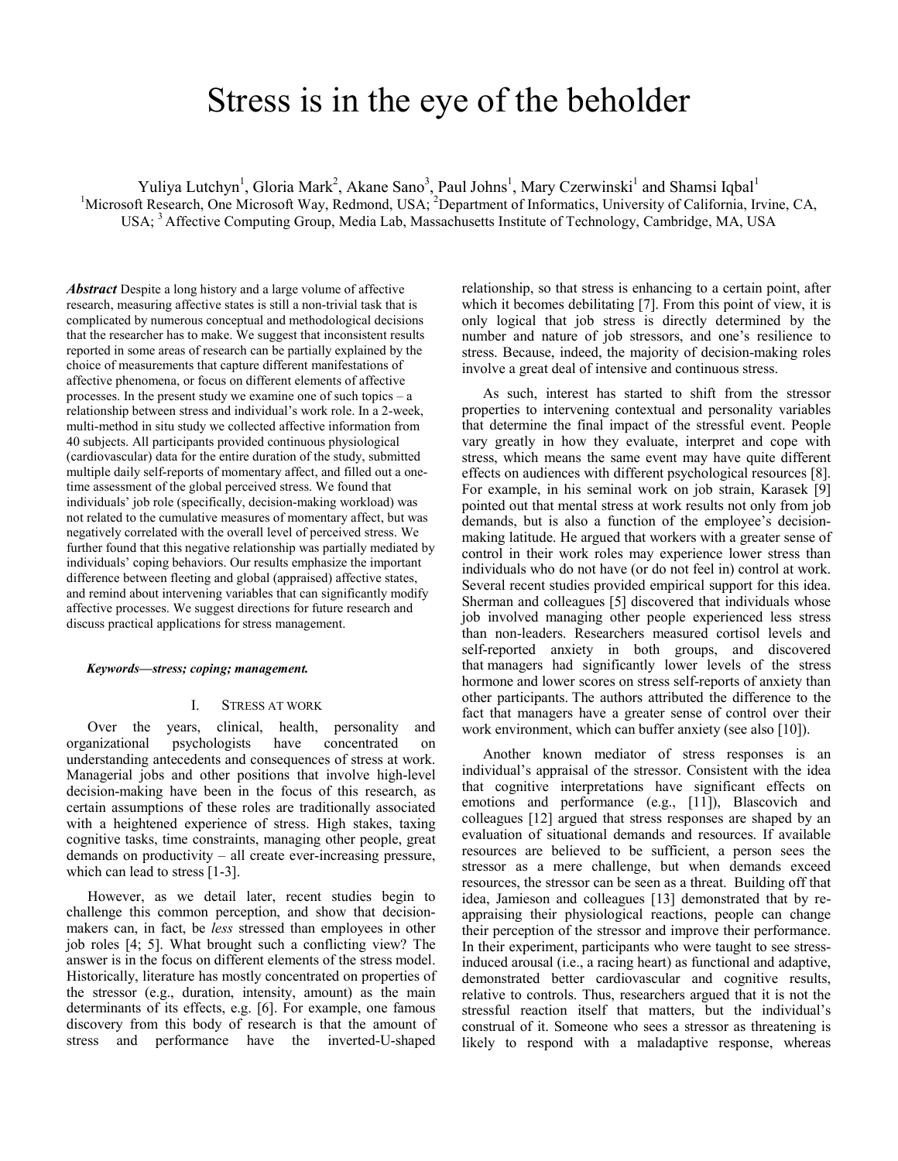# Stress is in the eye of the beholder

Yuliya Lutchyn<sup>1</sup>, Gloria Mark<sup>2</sup>, Akane Sano<sup>3</sup>, Paul Johns<sup>1</sup>, Mary Czerwinski<sup>1</sup> and Shamsi Iqbal<sup>1</sup> <sup>1</sup>Microsoft Research, One Microsoft Way, Redmond, USA; <sup>2</sup>Department of Informatics, University of California, Irvine, CA, USA; <sup>3</sup> Affective Computing Group, Media Lab, Massachusetts Institute of Technology, Cambridge, MA, USA

*Abstract* Despite a long history and a large volume of affective research, measuring affective states is still a non-trivial task that is complicated by numerous conceptual and methodological decisions that the researcher has to make. We suggest that inconsistent results reported in some areas of research can be partially explained by the choice of measurements that capture different manifestations of affective phenomena, or focus on different elements of affective processes. In the present study we examine one of such topics – a relationship between stress and individual's work role. In a 2-week, multi-method in situ study we collected affective information from 40 subjects. All participants provided continuous physiological (cardiovascular) data for the entire duration of the study, submitted multiple daily self-reports of momentary affect, and filled out a onetime assessment of the global perceived stress. We found that individuals' job role (specifically, decision-making workload) was not related to the cumulative measures of momentary affect, but was negatively correlated with the overall level of perceived stress. We further found that this negative relationship was partially mediated by individuals' coping behaviors. Our results emphasize the important difference between fleeting and global (appraised) affective states, and remind about intervening variables that can significantly modify affective processes. We suggest directions for future research and discuss practical applications for stress management.

## *Keywords—stress; coping; management.*

## I. STRESS AT WORK

Over the years, clinical, health, personality and organizational psychologists have concentrated on understanding antecedents and consequences of stress at work. Managerial jobs and other positions that involve high-level decision-making have been in the focus of this research, as certain assumptions of these roles are traditionally associated with a heightened experience of stress. High stakes, taxing cognitive tasks, time constraints, managing other people, great demands on productivity – all create ever-increasing pressure, which can lead to stress [1-3].

However, as we detail later, recent studies begin to challenge this common perception, and show that decisionmakers can, in fact, be *less* stressed than employees in other job roles [4; 5]. What brought such a conflicting view? The answer is in the focus on different elements of the stress model. Historically, literature has mostly concentrated on properties of the stressor (e.g., duration, intensity, amount) as the main determinants of its effects, e.g. [6]. For example, one famous discovery from this body of research is that the amount of stress and performance have the inverted-U-shaped relationship, so that stress is enhancing to a certain point, after which it becomes debilitating [7]. From this point of view, it is only logical that job stress is directly determined by the number and nature of job stressors, and one's resilience to stress. Because, indeed, the majority of decision-making roles involve a great deal of intensive and continuous stress.

As such, interest has started to shift from the stressor properties to intervening contextual and personality variables that determine the final impact of the stressful event. People vary greatly in how they evaluate, interpret and cope with stress, which means the same event may have quite different effects on audiences with different psychological resources [8]. For example, in his seminal work on job strain, Karasek [9] pointed out that mental stress at work results not only from job demands, but is also a function of the employee's decisionmaking latitude. He argued that workers with a greater sense of control in their work roles may experience lower stress than individuals who do not have (or do not feel in) control at work. Several recent studies provided empirical support for this idea. Sherman and colleagues [5] discovered that individuals whose job involved managing other people experienced less stress than non-leaders. Researchers measured cortisol levels and self-reported anxiety in both groups, and discovered that managers had significantly lower levels of the stress hormone and lower scores on stress self-reports of anxiety than other participants. The authors attributed the difference to the fact that managers have a greater sense of control over their work environment, which can buffer anxiety (see also [10]).

Another known mediator of stress responses is an individual's appraisal of the stressor. Consistent with the idea that cognitive interpretations have significant effects on emotions and performance (e.g., [11]), Blascovich and colleagues [12] argued that stress responses are shaped by an evaluation of situational demands and resources. If available resources are believed to be sufficient, a person sees the stressor as a mere challenge, but when demands exceed resources, the stressor can be seen as a threat. Building off that idea, Jamieson and colleagues [13] demonstrated that by reappraising their physiological reactions, people can change their perception of the stressor and improve their performance. In their experiment, participants who were taught to see stressinduced arousal (i.e., a racing heart) as functional and adaptive, demonstrated better cardiovascular and cognitive results, relative to controls. Thus, researchers argued that it is not the stressful reaction itself that matters, but the individual's construal of it. Someone who sees a stressor as threatening is likely to respond with a maladaptive response, whereas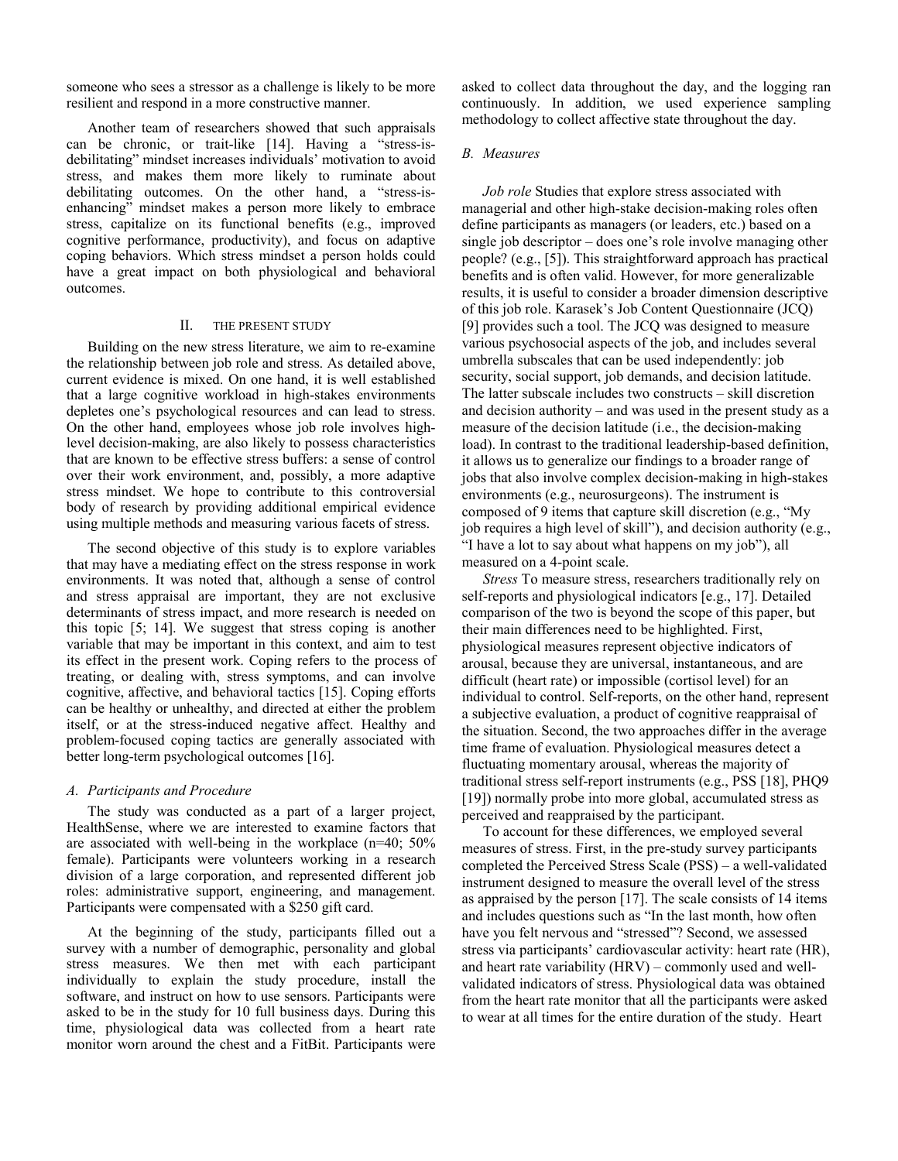someone who sees a stressor as a challenge is likely to be more resilient and respond in a more constructive manner.

Another team of researchers showed that such appraisals can be chronic, or trait-like [14]. Having a "stress-isdebilitating" mindset increases individuals' motivation to avoid stress, and makes them more likely to ruminate about debilitating outcomes. On the other hand, a "stress-isenhancing" mindset makes a person more likely to embrace stress, capitalize on its functional benefits (e.g., improved cognitive performance, productivity), and focus on adaptive coping behaviors. Which stress mindset a person holds could have a great impact on both physiological and behavioral outcomes.

### II. THE PRESENT STUDY

Building on the new stress literature, we aim to re-examine the relationship between job role and stress. As detailed above, current evidence is mixed. On one hand, it is well established that a large cognitive workload in high-stakes environments depletes one's psychological resources and can lead to stress. On the other hand, employees whose job role involves highlevel decision-making, are also likely to possess characteristics that are known to be effective stress buffers: a sense of control over their work environment, and, possibly, a more adaptive stress mindset. We hope to contribute to this controversial body of research by providing additional empirical evidence using multiple methods and measuring various facets of stress.

The second objective of this study is to explore variables that may have a mediating effect on the stress response in work environments. It was noted that, although a sense of control and stress appraisal are important, they are not exclusive determinants of stress impact, and more research is needed on this topic [5; 14]. We suggest that stress coping is another variable that may be important in this context, and aim to test its effect in the present work. Coping refers to the process of treating, or dealing with, stress symptoms, and can involve cognitive, affective, and behavioral tactics [15]. Coping efforts can be healthy or unhealthy, and directed at either the problem itself, or at the stress-induced negative affect. Healthy and problem-focused coping tactics are generally associated with better long-term psychological outcomes [16].

# *A. Participants and Procedure*

The study was conducted as a part of a larger project, HealthSense, where we are interested to examine factors that are associated with well-being in the workplace (n=40; 50% female). Participants were volunteers working in a research division of a large corporation, and represented different job roles: administrative support, engineering, and management. Participants were compensated with a \$250 gift card.

At the beginning of the study, participants filled out a survey with a number of demographic, personality and global stress measures. We then met with each participant individually to explain the study procedure, install the software, and instruct on how to use sensors. Participants were asked to be in the study for 10 full business days. During this time, physiological data was collected from a heart rate monitor worn around the chest and a FitBit. Participants were

asked to collect data throughout the day, and the logging ran continuously. In addition, we used experience sampling methodology to collect affective state throughout the day.

## *B. Measures*

*Job role* Studies that explore stress associated with managerial and other high-stake decision-making roles often define participants as managers (or leaders, etc.) based on a single job descriptor – does one's role involve managing other people? (e.g., [5]). This straightforward approach has practical benefits and is often valid. However, for more generalizable results, it is useful to consider a broader dimension descriptive of this job role. Karasek's Job Content Questionnaire (JCQ) [9] provides such a tool. The JCQ was designed to measure various psychosocial aspects of the job, and includes several umbrella subscales that can be used independently: job security, social support, job demands, and decision latitude. The latter subscale includes two constructs – skill discretion and decision authority – and was used in the present study as a measure of the decision latitude (i.e., the decision-making load). In contrast to the traditional leadership-based definition, it allows us to generalize our findings to a broader range of jobs that also involve complex decision-making in high-stakes environments (e.g., neurosurgeons). The instrument is composed of 9 items that capture skill discretion (e.g., "My job requires a high level of skill"), and decision authority (e.g., "I have a lot to say about what happens on my job"), all measured on a 4-point scale.

*Stress* To measure stress, researchers traditionally rely on self-reports and physiological indicators [e.g., 17]. Detailed comparison of the two is beyond the scope of this paper, but their main differences need to be highlighted. First, physiological measures represent objective indicators of arousal, because they are universal, instantaneous, and are difficult (heart rate) or impossible (cortisol level) for an individual to control. Self-reports, on the other hand, represent a subjective evaluation, a product of cognitive reappraisal of the situation. Second, the two approaches differ in the average time frame of evaluation. Physiological measures detect a fluctuating momentary arousal, whereas the majority of traditional stress self-report instruments (e.g., PSS [18], PHQ9 [19]) normally probe into more global, accumulated stress as perceived and reappraised by the participant.

To account for these differences, we employed several measures of stress. First, in the pre-study survey participants completed the Perceived Stress Scale (PSS) – a well-validated instrument designed to measure the overall level of the stress as appraised by the person [17]. The scale consists of 14 items and includes questions such as "In the last month, how often have you felt nervous and "stressed"? Second, we assessed stress via participants' cardiovascular activity: heart rate (HR), and heart rate variability (HRV) – commonly used and wellvalidated indicators of stress. Physiological data was obtained from the heart rate monitor that all the participants were asked to wear at all times for the entire duration of the study. Heart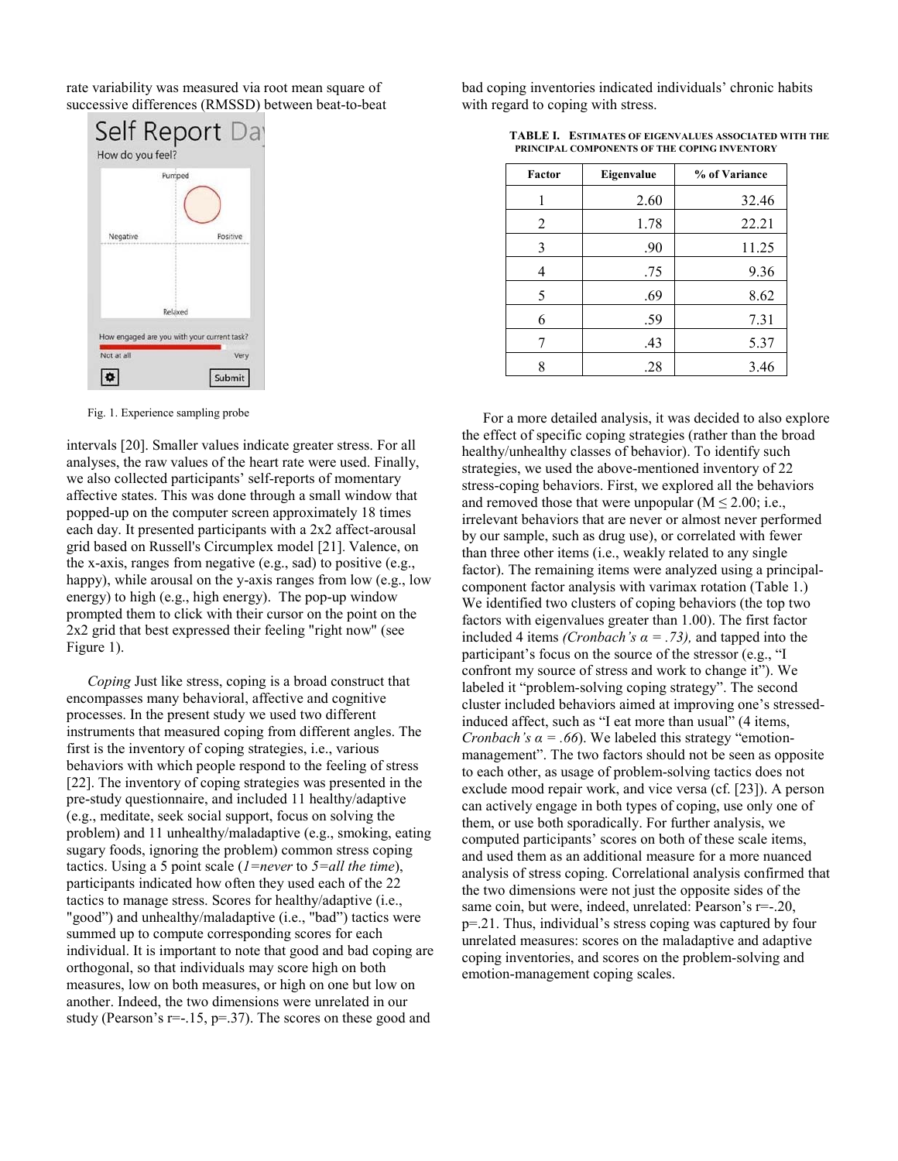rate variability was measured via root mean square of successive differences (RMSSD) between beat-to-beat

|                                             | Pumped  |          |
|---------------------------------------------|---------|----------|
|                                             |         |          |
| Negative                                    |         | Positive |
|                                             |         |          |
|                                             |         |          |
|                                             | Relaxed |          |
| How engaged are you with your current task? |         |          |

Fig. 1. Experience sampling probe

intervals [20]. Smaller values indicate greater stress. For all analyses, the raw values of the heart rate were used. Finally, we also collected participants' self-reports of momentary affective states. This was done through a small window that popped-up on the computer screen approximately 18 times each day. It presented participants with a 2x2 affect-arousal grid based on Russell's Circumplex model [21]. Valence, on the x-axis, ranges from negative (e.g., sad) to positive (e.g., happy), while arousal on the y-axis ranges from low (e.g., low energy) to high (e.g., high energy). The pop-up window prompted them to click with their cursor on the point on the 2x2 grid that best expressed their feeling "right now" (see Figure 1).

*Coping* Just like stress, coping is a broad construct that encompasses many behavioral, affective and cognitive processes. In the present study we used two different instruments that measured coping from different angles. The first is the inventory of coping strategies, i.e., various behaviors with which people respond to the feeling of stress [22]. The inventory of coping strategies was presented in the pre-study questionnaire, and included 11 healthy/adaptive (e.g., meditate, seek social support, focus on solving the problem) and 11 unhealthy/maladaptive (e.g., smoking, eating sugary foods, ignoring the problem) common stress coping tactics. Using a 5 point scale (*1=never* to *5=all the time*), participants indicated how often they used each of the 22 tactics to manage stress. Scores for healthy/adaptive (i.e., "good") and unhealthy/maladaptive (i.e., "bad") tactics were summed up to compute corresponding scores for each individual. It is important to note that good and bad coping are orthogonal, so that individuals may score high on both measures, low on both measures, or high on one but low on another. Indeed, the two dimensions were unrelated in our study (Pearson's  $r=-15$ ,  $p=.37$ ). The scores on these good and

bad coping inventories indicated individuals' chronic habits with regard to coping with stress.

| Factor         | Eigenvalue | % of Variance |
|----------------|------------|---------------|
|                | 2.60       | 32.46         |
| $\overline{2}$ | 1.78       | 22.21         |
| 3              | .90        | 11.25         |
| 4              | .75        | 9.36          |
| 5              | .69        | 8.62          |
| 6              | .59        | 7.31          |
| 7              | .43        | 5.37          |
| 8              | .28        | 3.46          |

**TABLE I. ESTIMATES OF EIGENVALUES ASSOCIATED WITH THE PRINCIPAL COMPONENTS OF THE COPING INVENTORY**

For a more detailed analysis, it was decided to also explore the effect of specific coping strategies (rather than the broad healthy/unhealthy classes of behavior). To identify such strategies, we used the above-mentioned inventory of 22 stress-coping behaviors. First, we explored all the behaviors and removed those that were unpopular  $(M \le 2.00; i.e.,$ irrelevant behaviors that are never or almost never performed by our sample, such as drug use), or correlated with fewer than three other items (i.e., weakly related to any single factor). The remaining items were analyzed using a principalcomponent factor analysis with varimax rotation (Table 1.) We identified two clusters of coping behaviors (the top two factors with eigenvalues greater than 1.00). The first factor included 4 items *(Cronbach's*  $\alpha$  = .73), and tapped into the participant's focus on the source of the stressor (e.g., "I confront my source of stress and work to change it"). We labeled it "problem-solving coping strategy". The second cluster included behaviors aimed at improving one's stressedinduced affect, such as "I eat more than usual" (4 items, *Cronbach's*  $\alpha$  *= .66*). We labeled this strategy "emotionmanagement". The two factors should not be seen as opposite to each other, as usage of problem-solving tactics does not exclude mood repair work, and vice versa (cf. [23]). A person can actively engage in both types of coping, use only one of them, or use both sporadically. For further analysis, we computed participants' scores on both of these scale items, and used them as an additional measure for a more nuanced analysis of stress coping. Correlational analysis confirmed that the two dimensions were not just the opposite sides of the same coin, but were, indeed, unrelated: Pearson's r=-.20, p=.21. Thus, individual's stress coping was captured by four unrelated measures: scores on the maladaptive and adaptive coping inventories, and scores on the problem-solving and emotion-management coping scales.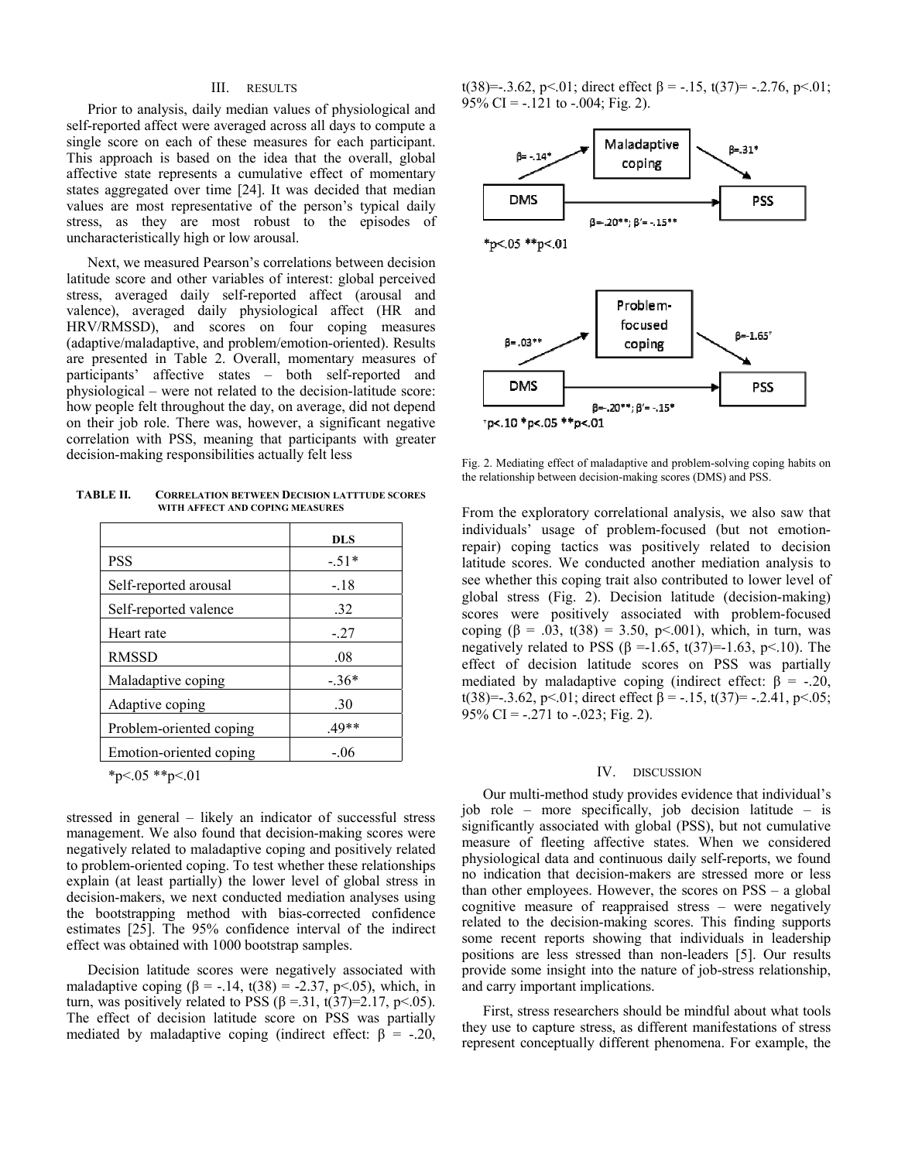## III. RESULTS

Prior to analysis, daily median values of physiological and self-reported affect were averaged across all days to compute a single score on each of these measures for each participant. This approach is based on the idea that the overall, global affective state represents a cumulative effect of momentary states aggregated over time [24]. It was decided that median values are most representative of the person's typical daily stress, as they are most robust to the episodes of uncharacteristically high or low arousal.

Next, we measured Pearson's correlations between decision latitude score and other variables of interest: global perceived stress, averaged daily self-reported affect (arousal and valence), averaged daily physiological affect (HR and HRV/RMSSD), and scores on four coping measures (adaptive/maladaptive, and problem/emotion-oriented). Results are presented in Table 2. Overall, momentary measures of participants' affective states – both self-reported and physiological – were not related to the decision-latitude score: how people felt throughout the day, on average, did not depend on their job role. There was, however, a significant negative correlation with PSS, meaning that participants with greater decision-making responsibilities actually felt less

**TABLE II. CORRELATION BETWEEN DECISION LATTTUDE SCORES WITH AFFECT AND COPING MEASURES**

|                         | <b>DLS</b> |
|-------------------------|------------|
| <b>PSS</b>              | $-51*$     |
| Self-reported arousal   | $-.18$     |
| Self-reported valence   | .32        |
| Heart rate              | $-27$      |
| <b>RMSSD</b>            | .08        |
| Maladaptive coping      | $-36*$     |
| Adaptive coping         | .30        |
| Problem-oriented coping | $.49**$    |
| Emotion-oriented coping | $-06$      |

 $*p<.05$   $*p<.01$ 

stressed in general – likely an indicator of successful stress management. We also found that decision-making scores were negatively related to maladaptive coping and positively related to problem-oriented coping. To test whether these relationships explain (at least partially) the lower level of global stress in decision-makers, we next conducted mediation analyses using the bootstrapping method with bias-corrected confidence estimates [25]. The 95% confidence interval of the indirect effect was obtained with 1000 bootstrap samples.

Decision latitude scores were negatively associated with maladaptive coping  $(\beta = -14, t(38)) = -2.37, p < 0.05$ , which, in turn, was positively related to PSS ( $\beta$  =.31, t(37)=2.17, p<.05). The effect of decision latitude score on PSS was partially mediated by maladaptive coping (indirect effect:  $\beta$  = -.20, t(38)=-.3.62, p<.01; direct effect  $\beta$  = -.15, t(37)= -.2.76, p<.01; 95% CI =  $-.121$  to  $-.004$ ; Fig. 2).



Fig. 2. Mediating effect of maladaptive and problem-solving coping habits on the relationship between decision-making scores (DMS) and PSS.

From the exploratory correlational analysis, we also saw that individuals' usage of problem-focused (but not emotionrepair) coping tactics was positively related to decision latitude scores. We conducted another mediation analysis to see whether this coping trait also contributed to lower level of global stress (Fig. 2). Decision latitude (decision-making) scores were positively associated with problem-focused coping (β = .03, t(38) = 3.50, p < .001), which, in turn, was negatively related to PSS (β = -1.65, t(37)= -1.63, p < 10). The effect of decision latitude scores on PSS was partially mediated by maladaptive coping (indirect effect:  $\beta = -20$ , t(38)=-.3.62, p <.01; direct effect  $\beta$  = -.15, t(37)= -.2.41, p <.05; 95% CI =  $-0.271$  to  $-0.023$ ; Fig. 2).

## IV. DISCUSSION

Our multi-method study provides evidence that individual's job role – more specifically, job decision latitude – is significantly associated with global (PSS), but not cumulative measure of fleeting affective states. When we considered physiological data and continuous daily self-reports, we found no indication that decision-makers are stressed more or less than other employees. However, the scores on PSS – a global cognitive measure of reappraised stress – were negatively related to the decision-making scores. This finding supports some recent reports showing that individuals in leadership positions are less stressed than non-leaders [5]. Our results provide some insight into the nature of job-stress relationship, and carry important implications.

First, stress researchers should be mindful about what tools they use to capture stress, as different manifestations of stress represent conceptually different phenomena. For example, the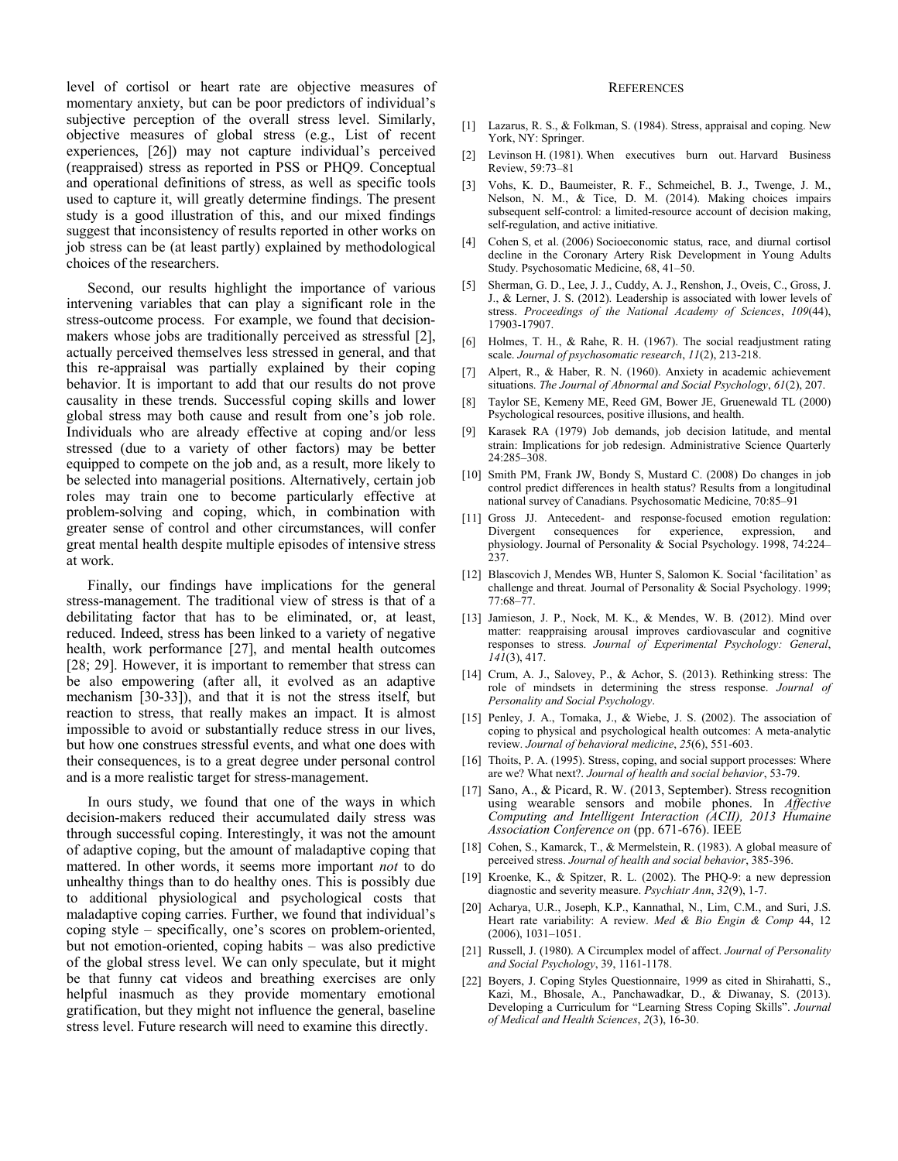level of cortisol or heart rate are objective measures of momentary anxiety, but can be poor predictors of individual's subjective perception of the overall stress level. Similarly, objective measures of global stress (e.g., List of recent experiences, [26]) may not capture individual's perceived (reappraised) stress as reported in PSS or PHQ9. Conceptual and operational definitions of stress, as well as specific tools used to capture it, will greatly determine findings. The present study is a good illustration of this, and our mixed findings suggest that inconsistency of results reported in other works on job stress can be (at least partly) explained by methodological choices of the researchers.

Second, our results highlight the importance of various intervening variables that can play a significant role in the stress-outcome process. For example, we found that decisionmakers whose jobs are traditionally perceived as stressful [2], actually perceived themselves less stressed in general, and that this re-appraisal was partially explained by their coping behavior. It is important to add that our results do not prove causality in these trends. Successful coping skills and lower global stress may both cause and result from one's job role. Individuals who are already effective at coping and/or less stressed (due to a variety of other factors) may be better equipped to compete on the job and, as a result, more likely to be selected into managerial positions. Alternatively, certain job roles may train one to become particularly effective at problem-solving and coping, which, in combination with greater sense of control and other circumstances, will confer great mental health despite multiple episodes of intensive stress at work.

Finally, our findings have implications for the general stress-management. The traditional view of stress is that of a debilitating factor that has to be eliminated, or, at least, reduced. Indeed, stress has been linked to a variety of negative health, work performance [27], and mental health outcomes [28; 29]. However, it is important to remember that stress can be also empowering (after all, it evolved as an adaptive mechanism [30-33]), and that it is not the stress itself, but reaction to stress, that really makes an impact. It is almost impossible to avoid or substantially reduce stress in our lives, but how one construes stressful events, and what one does with their consequences, is to a great degree under personal control and is a more realistic target for stress-management.

In ours study, we found that one of the ways in which decision-makers reduced their accumulated daily stress was through successful coping. Interestingly, it was not the amount of adaptive coping, but the amount of maladaptive coping that mattered. In other words, it seems more important *not* to do unhealthy things than to do healthy ones. This is possibly due to additional physiological and psychological costs that maladaptive coping carries. Further, we found that individual's coping style – specifically, one's scores on problem-oriented, but not emotion-oriented, coping habits – was also predictive of the global stress level. We can only speculate, but it might be that funny cat videos and breathing exercises are only helpful inasmuch as they provide momentary emotional gratification, but they might not influence the general, baseline stress level. Future research will need to examine this directly.

#### **REFERENCES**

- [1] Lazarus, R. S., & Folkman, S. (1984). Stress, appraisal and coping. New York, NY: Springer.
- [2] Levinson H. (1981). When executives burn out. Harvard Business Review, 59:73–81
- [3] Vohs, K. D., Baumeister, R. F., Schmeichel, B. J., Twenge, J. M., Nelson, N. M., & Tice, D. M. (2014). Making choices impairs subsequent self-control: a limited-resource account of decision making, self-regulation, and active initiative.
- [4] Cohen S, et al. (2006) Socioeconomic status, race, and diurnal cortisol decline in the Coronary Artery Risk Development in Young Adults Study. Psychosomatic Medicine, 68, 41–50.
- [5] Sherman, G. D., Lee, J. J., Cuddy, A. J., Renshon, J., Oveis, C., Gross, J. J., & Lerner, J. S. (2012). Leadership is associated with lower levels of stress. *Proceedings of the National Academy of Sciences*, *109*(44), 17903-17907.
- [6] Holmes, T. H., & Rahe, R. H. (1967). The social readjustment rating scale. *Journal of psychosomatic research*, *11*(2), 213-218.
- [7] Alpert, R., & Haber, R. N. (1960). Anxiety in academic achievement situations. *The Journal of Abnormal and Social Psychology*, *61*(2), 207.
- [8] Taylor SE, Kemeny ME, Reed GM, Bower JE, Gruenewald TL (2000) Psychological resources, positive illusions, and health.
- [9] Karasek RA (1979) Job demands, job decision latitude, and mental strain: Implications for job redesign. Administrative Science Quarterly 24:285–308.
- [10] Smith PM, Frank JW, Bondy S, Mustard C. (2008) Do changes in job control predict differences in health status? Results from a longitudinal national survey of Canadians. Psychosomatic Medicine, 70:85–91
- [11] Gross JJ. Antecedent- and response-focused emotion regulation: Divergent consequences for experience, expression, and physiology. Journal of Personality & Social Psychology. 1998, 74:224– 237.
- [12] Blascovich J, Mendes WB, Hunter S, Salomon K. Social 'facilitation' as challenge and threat. Journal of Personality & Social Psychology. 1999; 77:68–77.
- [13] Jamieson, J. P., Nock, M. K., & Mendes, W. B. (2012). Mind over matter: reappraising arousal improves cardiovascular and cognitive responses to stress. *Journal of Experimental Psychology: General*, *141*(3), 417.
- [14] Crum, A. J., Salovey, P., & Achor, S. (2013). Rethinking stress: The role of mindsets in determining the stress response. *Journal of Personality and Social Psychology*.
- [15] Penley, J. A., Tomaka, J., & Wiebe, J. S. (2002). The association of coping to physical and psychological health outcomes: A meta-analytic review. *Journal of behavioral medicine*, *25*(6), 551-603.
- [16] Thoits, P. A. (1995). Stress, coping, and social support processes: Where are we? What next?. *Journal of health and social behavior*, 53-79.
- [17] Sano, A., & Picard, R. W. (2013, September). Stress recognition using wearable sensors and mobile phones. In *Affective Computing and Intelligent Interaction (ACII), 2013 Humaine Association Conference on* (pp. 671-676). IEEE
- [18] Cohen, S., Kamarck, T., & Mermelstein, R. (1983). A global measure of perceived stress. *Journal of health and social behavior*, 385-396.
- [19] Kroenke, K., & Spitzer, R. L. (2002). The PHQ-9: a new depression diagnostic and severity measure. *Psychiatr Ann*, *32*(9), 1-7.
- [20] Acharya, U.R., Joseph, K.P., Kannathal, N., Lim, C.M., and Suri, J.S. Heart rate variability: A review. *Med & Bio Engin & Comp* 44, 12 (2006), 1031–1051.
- [21] Russell, J. (1980). A Circumplex model of affect. *Journal of Personality and Social Psychology*, 39, 1161-1178.
- [22] Boyers, J. Coping Styles Questionnaire, 1999 as cited in Shirahatti, S., Kazi, M., Bhosale, A., Panchawadkar, D., & Diwanay, S. (2013). Developing a Curriculum for "Learning Stress Coping Skills". *Journal of Medical and Health Sciences*, *2*(3), 16-30.